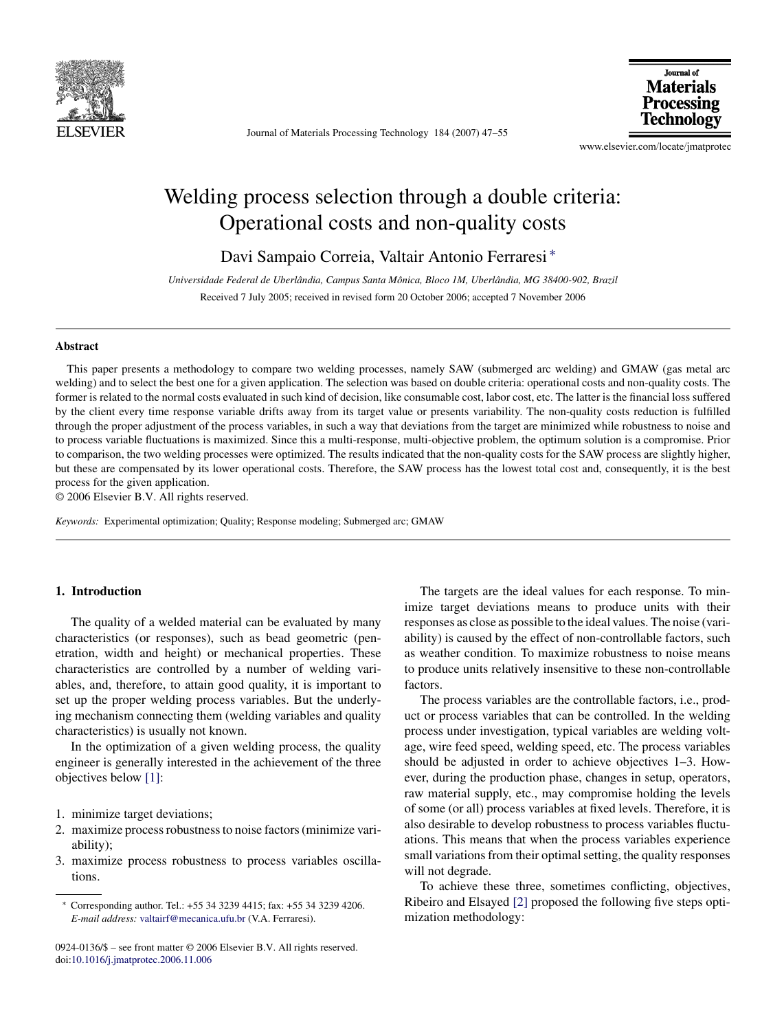

Journal of Materials Processing Technology 184 (2007) 47–55

www.elsevier.com/locate/jmatprotec

**Journal** of **Materials** Processing Technology

## Welding process selection through a double criteria: Operational costs and non-quality costs

Davi Sampaio Correia, Valtair Antonio Ferraresi <sup>∗</sup>

*Universidade Federal de Uberlˆandia, Campus Santa Mˆonica, Bloco 1M, Uberlˆandia, MG 38400-902, Brazil* Received 7 July 2005; received in revised form 20 October 2006; accepted 7 November 2006

## **Abstract**

This paper presents a methodology to compare two welding processes, namely SAW (submerged arc welding) and GMAW (gas metal arc welding) and to select the best one for a given application. The selection was based on double criteria: operational costs and non-quality costs. The former is related to the normal costs evaluated in such kind of decision, like consumable cost, labor cost, etc. The latter is the financial loss suffered by the client every time response variable drifts away from its target value or presents variability. The non-quality costs reduction is fulfilled through the proper adjustment of the process variables, in such a way that deviations from the target are minimized while robustness to noise and to process variable fluctuations is maximized. Since this a multi-response, multi-objective problem, the optimum solution is a compromise. Prior to comparison, the two welding processes were optimized. The results indicated that the non-quality costs for the SAW process are slightly higher, but these are compensated by its lower operational costs. Therefore, the SAW process has the lowest total cost and, consequently, it is the best process for the given application.

© 2006 Elsevier B.V. All rights reserved.

*Keywords:* Experimental optimization; Quality; Response modeling; Submerged arc; GMAW

## **1. Introduction**

The quality of a welded material can be evaluated by many characteristics (or responses), such as bead geometric (penetration, width and height) or mechanical properties. These characteristics are controlled by a number of welding variables, and, therefore, to attain good quality, it is important to set up the proper welding process variables. But the underlying mechanism connecting them (welding variables and quality characteristics) is usually not known.

In the optimization of a given welding process, the quality engineer is generally interested in the achievement of the three objectives below [\[1\]:](#page--1-0)

- 1. minimize target deviations;
- 2. maximize process robustness to noise factors (minimize variability);
- 3. maximize process robustness to process variables oscillations.

0924-0136/\$ – see front matter © 2006 Elsevier B.V. All rights reserved. doi[:10.1016/j.jmatprotec.2006.11.006](dx.doi.org/10.1016/j.jmatprotec.2006.11.006)

The targets are the ideal values for each response. To minimize target deviations means to produce units with their responses as close as possible to the ideal values. The noise (variability) is caused by the effect of non-controllable factors, such as weather condition. To maximize robustness to noise means to produce units relatively insensitive to these non-controllable factors.

The process variables are the controllable factors, i.e., product or process variables that can be controlled. In the welding process under investigation, typical variables are welding voltage, wire feed speed, welding speed, etc. The process variables should be adjusted in order to achieve objectives 1–3. However, during the production phase, changes in setup, operators, raw material supply, etc., may compromise holding the levels of some (or all) process variables at fixed levels. Therefore, it is also desirable to develop robustness to process variables fluctuations. This means that when the process variables experience small variations from their optimal setting, the quality responses will not degrade.

To achieve these three, sometimes conflicting, objectives, Ribeiro and Elsayed [\[2\]](#page--1-0) proposed the following five steps optimization methodology:

<sup>∗</sup> Corresponding author. Tel.: +55 34 3239 4415; fax: +55 34 3239 4206. *E-mail address:* [valtairf@mecanica.ufu.br](mailto:valtairf@mecanica.ufu.br) (V.A. Ferraresi).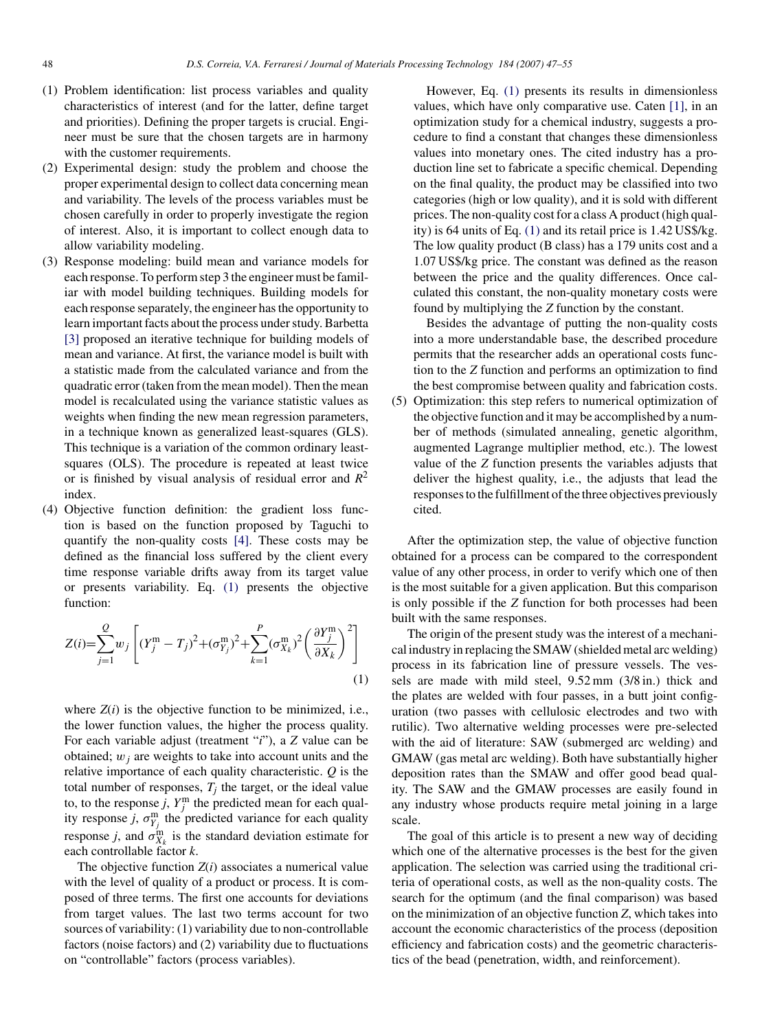- (1) Problem identification: list process variables and quality characteristics of interest (and for the latter, define target and priorities). Defining the proper targets is crucial. Engineer must be sure that the chosen targets are in harmony with the customer requirements.
- (2) Experimental design: study the problem and choose the proper experimental design to collect data concerning mean and variability. The levels of the process variables must be chosen carefully in order to properly investigate the region of interest. Also, it is important to collect enough data to allow variability modeling.
- (3) Response modeling: build mean and variance models for each response. To perform step 3 the engineer must be familiar with model building techniques. Building models for each response separately, the engineer has the opportunity to learn important facts about the process under study. Barbetta [\[3\]](#page--1-0) proposed an iterative technique for building models of mean and variance. At first, the variance model is built with a statistic made from the calculated variance and from the quadratic error (taken from the mean model). Then the mean model is recalculated using the variance statistic values as weights when finding the new mean regression parameters, in a technique known as generalized least-squares (GLS). This technique is a variation of the common ordinary leastsquares (OLS). The procedure is repeated at least twice or is finished by visual analysis of residual error and *R*<sup>2</sup> index.
- (4) Objective function definition: the gradient loss function is based on the function proposed by Taguchi to quantify the non-quality costs [\[4\].](#page--1-0) These costs may be defined as the financial loss suffered by the client every time response variable drifts away from its target value or presents variability. Eq. (1) presents the objective function:

$$
Z(i) = \sum_{j=1}^{Q} w_j \left[ (Y_j^{\text{m}} - T_j)^2 + (\sigma_{Y_j}^{\text{m}})^2 + \sum_{k=1}^{P} (\sigma_{X_k}^{\text{m}})^2 \left( \frac{\partial Y_j^{\text{m}}}{\partial X_k} \right)^2 \right]
$$
\n(1)

where  $Z(i)$  is the objective function to be minimized, i.e., the lower function values, the higher the process quality. For each variable adjust (treatment "*i*"), a *Z* value can be obtained;  $w_i$  are weights to take into account units and the relative importance of each quality characteristic. *Q* is the total number of responses,  $T_i$  the target, or the ideal value to, to the response *j*,  $Y_j^{\text{m}}$  the predicted mean for each quality response *j*,  $\sigma_{Y_j}^{\text{m}}$  the predicted variance for each quality response *j*, and  $\sigma_{X_k}^{\text{m}}$  is the standard deviation estimate for each controllable factor *k*.

The objective function *Z*(*i*) associates a numerical value with the level of quality of a product or process. It is composed of three terms. The first one accounts for deviations from target values. The last two terms account for two sources of variability: (1) variability due to non-controllable factors (noise factors) and (2) variability due to fluctuations on "controllable" factors (process variables).

However, Eq. (1) presents its results in dimensionless values, which have only comparative use. Caten [\[1\],](#page--1-0) in an optimization study for a chemical industry, suggests a procedure to find a constant that changes these dimensionless values into monetary ones. The cited industry has a production line set to fabricate a specific chemical. Depending on the final quality, the product may be classified into two categories (high or low quality), and it is sold with different prices. The non-quality cost for a class A product (high quality) is 64 units of Eq. (1) and its retail price is 1.42 US\$/kg. The low quality product (B class) has a 179 units cost and a 1.07 US\$/kg price. The constant was defined as the reason between the price and the quality differences. Once calculated this constant, the non-quality monetary costs were found by multiplying the *Z* function by the constant.

Besides the advantage of putting the non-quality costs into a more understandable base, the described procedure permits that the researcher adds an operational costs function to the *Z* function and performs an optimization to find the best compromise between quality and fabrication costs.

(5) Optimization: this step refers to numerical optimization of the objective function and it may be accomplished by a number of methods (simulated annealing, genetic algorithm, augmented Lagrange multiplier method, etc.). The lowest value of the *Z* function presents the variables adjusts that deliver the highest quality, i.e., the adjusts that lead the responses to the fulfillment of the three objectives previously cited.

After the optimization step, the value of objective function obtained for a process can be compared to the correspondent value of any other process, in order to verify which one of then is the most suitable for a given application. But this comparison is only possible if the *Z* function for both processes had been built with the same responses.

The origin of the present study was the interest of a mechanical industry in replacing the SMAW (shielded metal arc welding) process in its fabrication line of pressure vessels. The vessels are made with mild steel, 9.52 mm (3/8 in.) thick and the plates are welded with four passes, in a butt joint configuration (two passes with cellulosic electrodes and two with rutilic). Two alternative welding processes were pre-selected with the aid of literature: SAW (submerged arc welding) and GMAW (gas metal arc welding). Both have substantially higher deposition rates than the SMAW and offer good bead quality. The SAW and the GMAW processes are easily found in any industry whose products require metal joining in a large scale.

The goal of this article is to present a new way of deciding which one of the alternative processes is the best for the given application. The selection was carried using the traditional criteria of operational costs, as well as the non-quality costs. The search for the optimum (and the final comparison) was based on the minimization of an objective function *Z*, which takes into account the economic characteristics of the process (deposition efficiency and fabrication costs) and the geometric characteristics of the bead (penetration, width, and reinforcement).